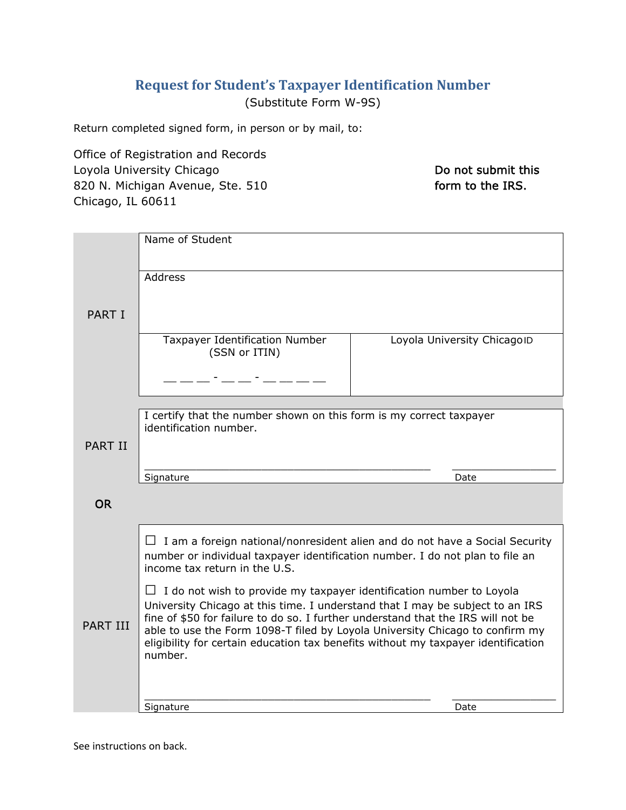# **Request for Student's Taxpayer Identification Number**

(Substitute Form W-9S)

Return completed signed form, in person or by mail, to:

Office of Registration and Records Loyola University Chicago 820 N. Michigan Avenue, Ste. 510 Chicago, IL 60611

Do not submit this form to the IRS.

|                 | Name of Student                                                                                                                                                              |                             |
|-----------------|------------------------------------------------------------------------------------------------------------------------------------------------------------------------------|-----------------------------|
|                 |                                                                                                                                                                              |                             |
|                 |                                                                                                                                                                              |                             |
|                 | Address                                                                                                                                                                      |                             |
|                 |                                                                                                                                                                              |                             |
| <b>PART I</b>   |                                                                                                                                                                              |                             |
|                 | Taxpayer Identification Number                                                                                                                                               | Loyola University ChicagoID |
|                 | (SSN or ITIN)                                                                                                                                                                |                             |
|                 |                                                                                                                                                                              |                             |
|                 |                                                                                                                                                                              |                             |
|                 |                                                                                                                                                                              |                             |
|                 | I certify that the number shown on this form is my correct taxpayer<br>identification number.                                                                                |                             |
| <b>PART II</b>  |                                                                                                                                                                              |                             |
|                 |                                                                                                                                                                              |                             |
|                 | Signature                                                                                                                                                                    | Date                        |
|                 |                                                                                                                                                                              |                             |
| <b>OR</b>       |                                                                                                                                                                              |                             |
|                 |                                                                                                                                                                              |                             |
|                 | $\Box$ I am a foreign national/nonresident alien and do not have a Social Security                                                                                           |                             |
|                 | number or individual taxpayer identification number. I do not plan to file an<br>income tax return in the U.S.                                                               |                             |
|                 |                                                                                                                                                                              |                             |
|                 | $\Box$ I do not wish to provide my taxpayer identification number to Loyola                                                                                                  |                             |
|                 | University Chicago at this time. I understand that I may be subject to an IRS<br>fine of \$50 for failure to do so. I further understand that the IRS will not be            |                             |
| <b>PART III</b> | able to use the Form 1098-T filed by Loyola University Chicago to confirm my<br>eligibility for certain education tax benefits without my taxpayer identification<br>number. |                             |
|                 |                                                                                                                                                                              |                             |
|                 |                                                                                                                                                                              |                             |
|                 |                                                                                                                                                                              |                             |
|                 |                                                                                                                                                                              |                             |
|                 | Signature                                                                                                                                                                    | Date                        |

See instructions on back.